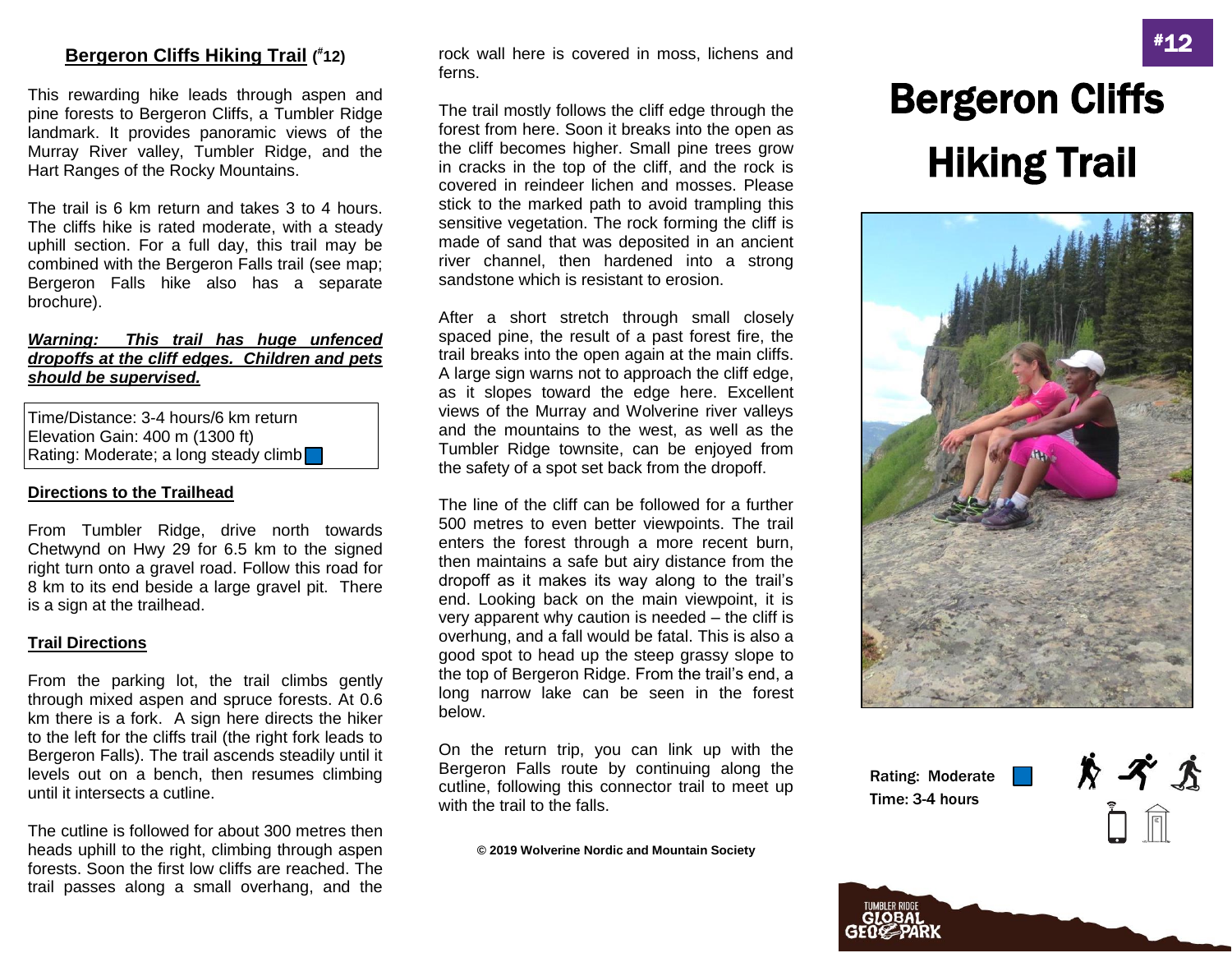### **Bergeron Cliffs Hiking Trail ( # 12)**

This rewarding hike leads through aspen and pine forests to Bergeron Cliffs, a Tumbler Ridge landmark. It provides panoramic views of the Murray River valley, Tumbler Ridge, and the Hart Ranges of the Rocky Mountains.

The trail is 6 km return and takes 3 to 4 hours. The cliffs hike is rated moderate, with a steady uphill section. For a full day, this trail may be combined with the Bergeron Falls trail (see map; Bergeron Falls hike also has a separate brochure).

#### *Warning: This trail has huge unfenced dropoffs at the cliff edges. Children and pets should be supervised.*

Time/Distance: 3-4 hours/6 km return Elevation Gain: 400 m (1300 ft) Rating: Moderate; a long steady climb

#### **Directions to the Trailhead**

From Tumbler Ridge, drive north towards Chetwynd on Hwy 29 for 6.5 km to the signed right turn onto a gravel road. Follow this road for 8 km to its end beside a large gravel pit. There is a sign at the trailhead.

#### **Trail Directions**

From the parking lot, the trail climbs gently through mixed aspen and spruce forests. At 0.6 km there is a fork. A sign here directs the hiker to the left for the cliffs trail (the right fork leads to Bergeron Falls). The trail ascends steadily until it levels out on a bench, then resumes climbing until it intersects a cutline.

The cutline is followed for about 300 metres then heads uphill to the right, climbing through aspen forests. Soon the first low cliffs are reached. The trail passes along a small overhang, and the

rock wall here is covered in moss, lichens and ferns.

The trail mostly follows the cliff edge through the forest from here. Soon it breaks into the open as the cliff becomes higher. Small pine trees grow in cracks in the top of the cliff, and the rock is covered in reindeer lichen and mosses. Please stick to the marked path to avoid trampling this sensitive vegetation. The rock forming the cliff is made of sand that was deposited in an ancient river channel, then hardened into a strong sandstone which is resistant to erosion.

After a short stretch through small closely spaced pine, the result of a past forest fire, the trail breaks into the open again at the main cliffs. A large sign warns not to approach the cliff edge, as it slopes toward the edge here. Excellent views of the Murray and Wolverine river valleys and the mountains to the west, as well as the Tumbler Ridge townsite, can be enjoyed from the safety of a spot set back from the dropoff.

The line of the cliff can be followed for a further 500 metres to even better viewpoints. The trail enters the forest through a more recent burn, then maintains a safe but airy distance from the dropoff as it makes its way along to the trail's end. Looking back on the main viewpoint, it is very apparent why caution is needed – the cliff is overhung, and a fall would be fatal. This is also a good spot to head up the steep grassy slope to the top of Bergeron Ridge. From the trail's end, a long narrow lake can be seen in the forest below.

On the return trip, you can link up with the Bergeron Falls route by continuing along the cutline, following this connector trail to meet up with the trail to the falls.

**© 2019 Wolverine Nordic and Mountain Society**

# Bergeron Cliffs Hiking Trail



Rating: Moderate Time: 3-4 hours